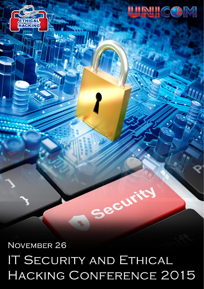# NOVEMBER 26 IT SECURITY AND ETHICAL HACKING CONFERENCE 2015

Security

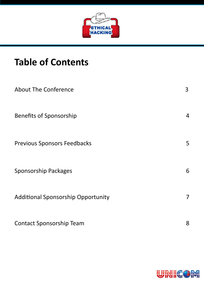

# **Table of Contents**

| <b>About The Conference</b>               | 3              |
|-------------------------------------------|----------------|
| <b>Benefits of Sponsorship</b>            | $\overline{4}$ |
| <b>Previous Sponsors Feedbacks</b>        | 5              |
| <b>Sponsorship Packages</b>               | 6              |
| <b>Additional Sponsorship Opportunity</b> | $\overline{7}$ |
| <b>Contact Sponsorship Team</b>           | 8              |

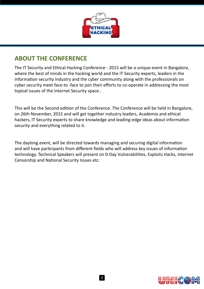

#### **ABOUT THE CONFERENCE**

The IT Security and Ethical Hacking Conference - 2015 will be a unique event in Bangalore, where the best of minds in the hacking world and the IT Security experts, leaders in the information security industry and the cyber community along with the professionals on cyber security meet face-to -face to join their efforts to co-operate in addressing the most topical issues of the Internet Security space..

This will be the Second edition of the Conference. The Conference will be held in Bangalore, on 26th November, 2015 and will get together industry leaders, Academia and ethical hackers, IT Security experts to share knowledge and leading-edge ideas about information security and everything related to it.

The daylong event, will be directed towards managing and securing digital information and will have participants from different fields who will address key issues of information technology. Technical Speakers will present on 0-Day Vulnerabilities, Exploits Hacks, Internet Censorship and National Security Issues etc.

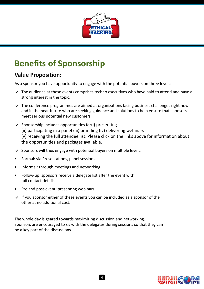

# **Benefits of Sponsorship**

#### **Value Proposition:**

As a sponsor you have opportunity to engage with the potential buyers on three levels:

- $\vee$  The audience at these events comprises techno executives who have paid to attend and have a strong interest in the topic.
- The conference programmes are aimed at organizations facing business challenges right now and in the near future who are seeking guidance and solutions to help ensure that sponsors meet serious potential new customers.
- $\vee$  Sponsorship includes opportunities for(i) presenting (ii) participating in a panel (iii) branding (iv) delivering webinars (v) receiving the full attendee list. Please click on the links above for information about the opportunities and packages available.
- $\vee$  Sponsors will thus engage with potential buyers on multiple levels:
- Formal: via Presentations, panel sessions
- Informal: through meetings and networking
- Follow-up: sponsors receive a delegate list after the event with full contact details
- Pre and post-event: presenting webinars
- $\vee$  If you sponsor either of these events you can be included as a sponsor of the other at no additional cost.

The whole day is geared towards maximizing discussion and networking. Sponsors are encouraged to sit with the delegates during sessions so that they can be a key part of the discussions.

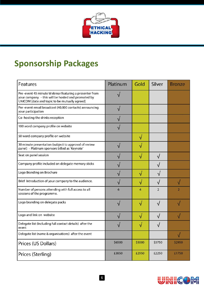

## **Sponsorship Packages**

| Features                                                                                                                                                      | Platinum | Gold   | Silver         | <b>Bronze</b> |
|---------------------------------------------------------------------------------------------------------------------------------------------------------------|----------|--------|----------------|---------------|
| Pre-event 45 minute Webinar featuring a presenter from<br>your company - this will be hosted and promoted by<br>UNICOM (date and topic to be mutually agreed) |          |        |                |               |
| Pre-event email broadcast (40,000 contacts) announcing<br>your participation                                                                                  |          |        |                |               |
| Co-hosting the drinks reception                                                                                                                               |          |        |                |               |
| 100 word company profile on website                                                                                                                           |          |        |                |               |
| 50 word company profile on website                                                                                                                            |          | √      |                |               |
| 30 minute presentation (subject to approval of review<br>panel) - Platinum sponsors billed as 'Keynote'                                                       |          |        |                |               |
| Seat on panel session                                                                                                                                         |          |        |                |               |
| Company profile included on delegate memory sticks                                                                                                            |          |        |                |               |
| Logo Branding on Brochure                                                                                                                                     |          |        |                |               |
| Brief Introduction of your company to the audience.                                                                                                           |          |        |                |               |
| Number of persons attending with full access to all<br>sessions of the programme.                                                                             | 6        | 4      | $\overline{2}$ | 2             |
| Logo branding on delegate packs                                                                                                                               |          | ٦I     |                |               |
| Logo and link on website                                                                                                                                      |          |        |                |               |
| Delegate list (Including full contact details) after the<br>event                                                                                             |          |        |                |               |
| Delegate list (name & organisations) after the event                                                                                                          |          |        |                | $\sqrt{}$     |
| Prices (US Dollars)                                                                                                                                           | \$6500   | \$5000 | \$3750         | \$2950        |
| Prices (Sterling)                                                                                                                                             | £3850    | £2950  | £2250          | £1750         |

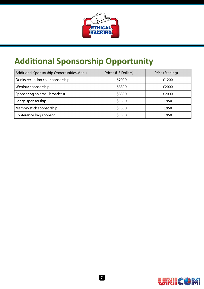

# **Additional Sponsorship Opportunity**

| Additional Sponsorship Opportunities Menu | Prices (US Dollars) | Price (Sterling) |
|-------------------------------------------|---------------------|------------------|
| Drinks reception co -sponsorship          | \$2000              | £1200            |
| Webinar sponsorship                       | \$3300              | £2000            |
| Sponsoring an email broadcast             | \$3300              | £2000            |
| Badge sponsorship                         | \$1500              | £950             |
| Memory stick sponsorship                  | \$1500              | £950             |
| Conference bag sponsor                    | \$1500              | £950             |